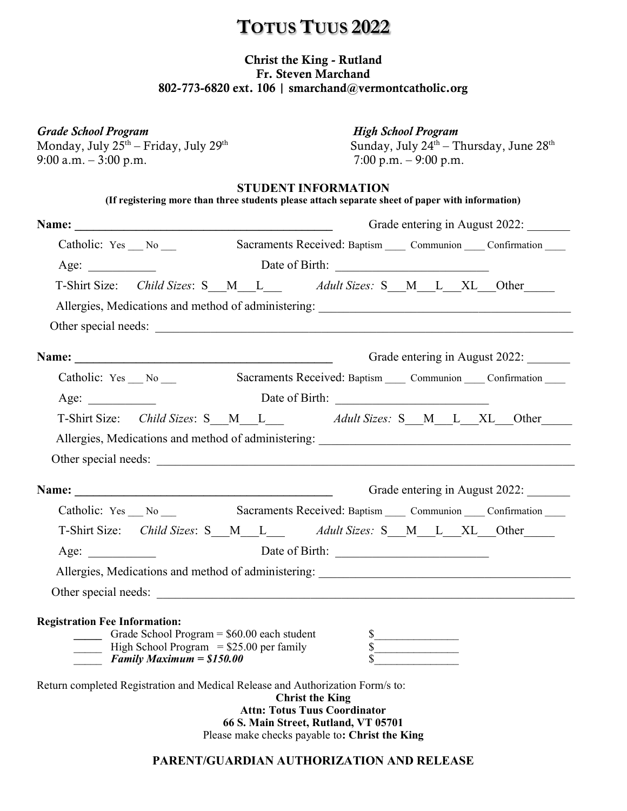## **TOTUS TUUS 2022**

## Christ the King - Rutland Fr. Steven Marchand 802-773-6820 ext. 106 | smarchand@vermontcatholic.org

| <b>Grade School Program</b>                                                                             | <b>High School Program</b>                                                                                                                              |  |
|---------------------------------------------------------------------------------------------------------|---------------------------------------------------------------------------------------------------------------------------------------------------------|--|
| Monday, July 25 <sup>th</sup> – Friday, July 29 <sup>th</sup><br>9:00 a.m. $-3:00$ p.m.                 | Sunday, July $24^{\text{th}}$ – Thursday, June $28^{\text{th}}$<br>7:00 p.m. $-$ 9:00 p.m.                                                              |  |
|                                                                                                         | <b>STUDENT INFORMATION</b><br>(If registering more than three students please attach separate sheet of paper with information)                          |  |
|                                                                                                         | Grade entering in August 2022:                                                                                                                          |  |
| Catholic: Yes No                                                                                        | Sacraments Received: Baptism _____ Communion _____ Confirmation _____                                                                                   |  |
|                                                                                                         | Age: <u>Next Birth:</u> Date of Birth:                                                                                                                  |  |
|                                                                                                         | T-Shirt Size: Child Sizes: S_M_L__ Adult Sizes: S_M_L_XL_Other___                                                                                       |  |
|                                                                                                         |                                                                                                                                                         |  |
|                                                                                                         |                                                                                                                                                         |  |
|                                                                                                         | Grade entering in August 2022:                                                                                                                          |  |
|                                                                                                         | Catholic: Yes __ No __ Sacraments Received: Baptism __ Communion __ Confirmation __                                                                     |  |
| Age:                                                                                                    |                                                                                                                                                         |  |
|                                                                                                         | T-Shirt Size: Child Sizes: S_M_L___ Adult Sizes: S_M_L_XL_Other___                                                                                      |  |
|                                                                                                         | Allergies, Medications and method of administering: _____________________________                                                                       |  |
|                                                                                                         |                                                                                                                                                         |  |
|                                                                                                         | Grade entering in August 2022:                                                                                                                          |  |
|                                                                                                         | Catholic: Yes __ No __ Sacraments Received: Baptism __ Communion __ Confirmation __                                                                     |  |
|                                                                                                         | T-Shirt Size: Child Sizes: S_M_L___ Adult Sizes: S_M_L_XL_Other___                                                                                      |  |
| Age: $\qquad \qquad$                                                                                    |                                                                                                                                                         |  |
|                                                                                                         | Allergies, Medications and method of administering: _____________________________                                                                       |  |
| Other special needs:                                                                                    |                                                                                                                                                         |  |
| <b>Registration Fee Information:</b>                                                                    |                                                                                                                                                         |  |
| Grade School Program $=$ \$60.00 each student<br>$\frac{1}{2}$ High School Program = \$25.00 per family | $\frac{\text{S}}{\text{S}}$                                                                                                                             |  |
| <b>Family Maximum = \$150.00</b>                                                                        |                                                                                                                                                         |  |
| Return completed Registration and Medical Release and Authorization Form/s to:                          | <b>Christ the King</b><br><b>Attn: Totus Tuus Coordinator</b><br>66 S. Main Street, Rutland, VT 05701<br>Please make checks payable to: Christ the King |  |

### **PARENT/GUARDIAN AUTHORIZATION AND RELEASE**